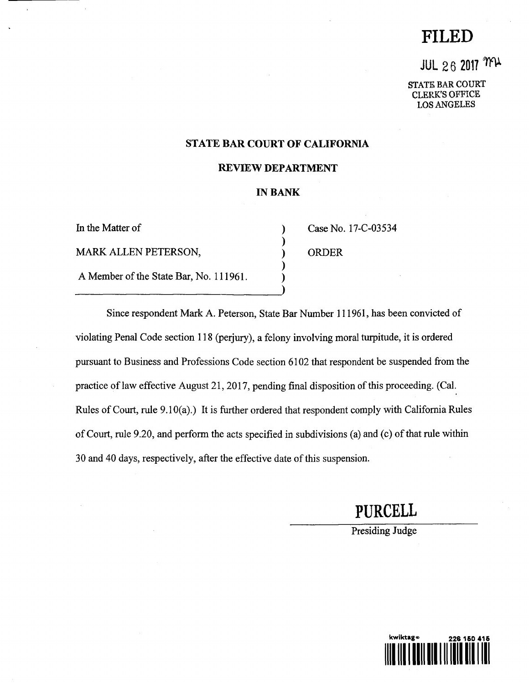# **FILED**

# **JUL 26 2017 MY**

**STATE BAR COURT** CLERK'S OFFICE LOS ANGELES

### **STATE BAR COURT OF CALIFORNIA**

#### **REVIEW DEPARTMENT**

### **IN BANK**

In the Matter of MARK ALLEN PETERSON, A Member of the State Bar, No. 111961. Case No. 17-C-03534 ORDER

Since respondent Mark A. Peterson, State Bar Number 111961, has been convicted of violating Penal Code section 118 (perjury), a felony involving moral turpitude, it is ordered pursuant to Business and Professions Code section 6102 that respondent be suspended from the practice of law effective August 21, 2017, pending final disposition of this proceeding. (Cal. Rules of Court, rule 9.10(a).) It is further ordered that respondent comply with California Rules of Court, rule 9.20, and perform the acts specified in subdivisions (a) and (c) of that rule within 30 and 40 days, respectively, after the effective date of this suspension.

**PURCELL**

Presiding Judge